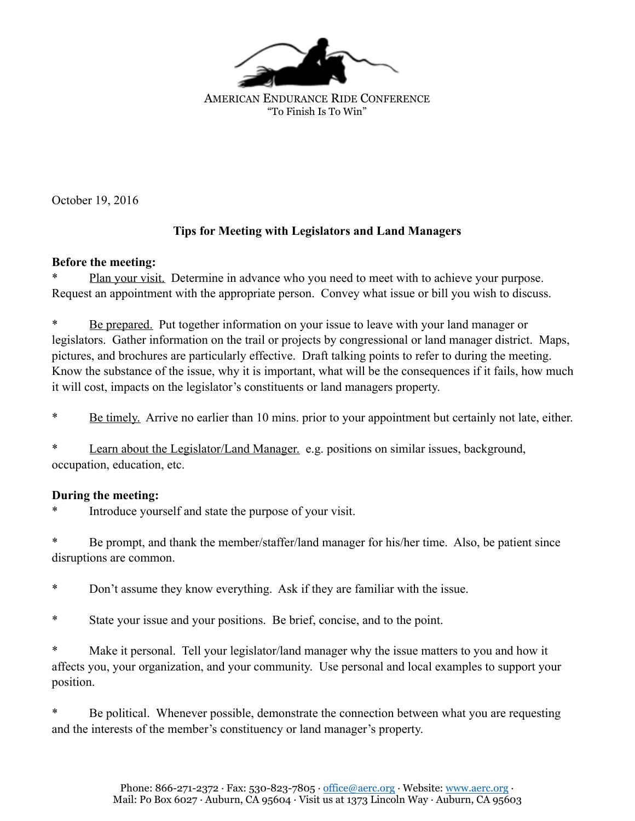

AMERICAN ENDURANCE RIDE CONFERENCE "To Finish Is To Win"

October 19, 2016

## **Tips for Meeting with Legislators and Land Managers**

## **Before the meeting:**

Plan your visit. Determine in advance who you need to meet with to achieve your purpose. Request an appointment with the appropriate person. Convey what issue or bill you wish to discuss.

Be prepared. Put together information on your issue to leave with your land manager or legislators. Gather information on the trail or projects by congressional or land manager district. Maps, pictures, and brochures are particularly effective. Draft talking points to refer to during the meeting. Know the substance of the issue, why it is important, what will be the consequences if it fails, how much it will cost, impacts on the legislator's constituents or land managers property.

\* Be timely. Arrive no earlier than 10 mins. prior to your appointment but certainly not late, either.

\* Learn about the Legislator/Land Manager. e.g. positions on similar issues, background, occupation, education, etc.

## **During the meeting:**

Introduce yourself and state the purpose of your visit.

Be prompt, and thank the member/staffer/land manager for his/her time. Also, be patient since disruptions are common.

- \* Don't assume they know everything. Ask if they are familiar with the issue.
- \* State your issue and your positions. Be brief, concise, and to the point.

Make it personal. Tell your legislator/land manager why the issue matters to you and how it affects you, your organization, and your community. Use personal and local examples to support your position.

Be political. Whenever possible, demonstrate the connection between what you are requesting and the interests of the member's constituency or land manager's property.